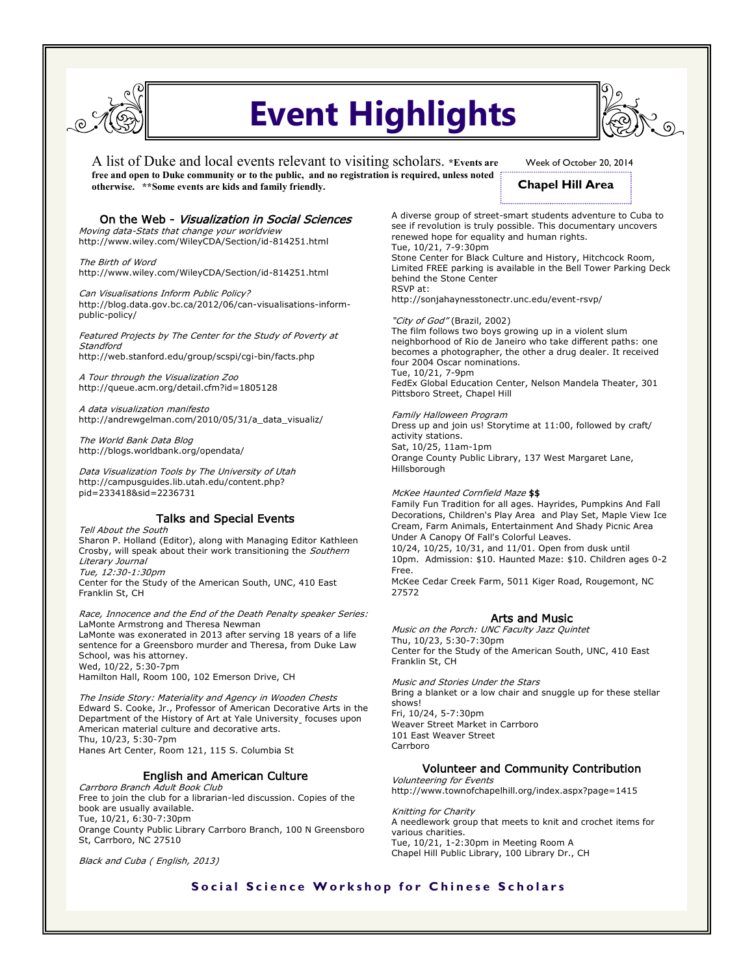

# **Event Highlights**

A list of Duke and local events relevant to visiting scholars. **\*Events are free and open to Duke community or to the public, and no registration is required, unless noted otherwise. \*\*Some events are kids and family friendly.** 

Week of October 20, 2014

# **Chapel Hill Area**

#### On the Web - Visualization in Social Sciences

Moving data-Stats that change your worldview http://www.wiley.com/WileyCDA/Section/id-814251.html

The Birth of Word http://www.wiley.com/WileyCDA/Section/id-814251.html

Can Visualisations Inform Public Policy? http://blog.data.gov.bc.ca/2012/06/can-visualisations-informpublic-policy/

Featured Projects by The Center for the Study of Poverty at **Standford** http://web.stanford.edu/group/scspi/cgi-bin/facts.php

A Tour through the Visualization Zoo http://queue.acm.org/detail.cfm?id=1805128

A data visualization manifesto http://andrewgelman.com/2010/05/31/a\_data\_visualiz/

The World Bank Data Blog http://blogs.worldbank.org/opendata/

Data Visualization Tools by The University of Utah http://campusguides.lib.utah.edu/content.php? pid=233418&sid=2236731

### Talks and Special Events

Tell About the South Sharon P. Holland (Editor), along with Managing Editor Kathleen Crosby, will speak about their work transitioning the Southern Literary Journal Tue, 12:30-1:30pm Center for the Study of the American South, UNC, 410 East Franklin St, CH

Race, Innocence and the End of the Death Penalty speaker Series: LaMonte Armstrong and Theresa Newman LaMonte was exonerated in 2013 after serving 18 years of a life sentence for a Greensboro murder and Theresa, from Duke Law School, was his attorney. Wed, 10/22, 5:30-7pm Hamilton Hall, Room 100, 102 Emerson Drive, CH

The Inside Story: Materiality and Agency in Wooden Chests Edward S. Cooke, Jr., Professor of American Decorative Arts in the Department of the History of Art at Yale University focuses upon American material culture and decorative arts. Thu, 10/23, 5:30-7pm Hanes Art Center, Room 121, 115 S. Columbia St

#### English and American Culture

Carrboro Branch Adult Book Club Free to join the club for a librarian-led discussion. Copies of the book are usually available. Tue, 10/21, 6:30-7:30pm Orange County Public Library Carrboro Branch, 100 N Greensboro St, Carrboro, NC 27510

Black and Cuba ( English, 2013)

A diverse group of street-smart students adventure to Cuba to see if revolution is truly possible. This documentary uncovers renewed hope for equality and human rights. Tue, 10/21, 7-9:30pm Stone Center for Black Culture and History, Hitchcock Room, Limited FREE parking is available in the Bell Tower Parking Deck

behind the Stone Center RSVP at:

http://sonjahaynesstonectr.unc.edu/event-rsvp/

"City of God" (Brazil, 2002) The film follows two boys growing up in a violent slum neighborhood of Rio de Janeiro who take different paths: one becomes a photographer, the other a drug dealer. It received four 2004 Oscar nominations. Tue, 10/21, 7-9pm FedEx Global Education Center, Nelson Mandela Theater, 301 Pittsboro Street, Chapel Hill

Family Halloween Program Dress up and join us! Storytime at 11:00, followed by craft/ activity stations. Sat, 10/25, 11am-1pm Orange County Public Library, 137 West Margaret Lane, Hillsborough

McKee Haunted Cornfield Maze \$\$ Family Fun Tradition for all ages. Hayrides, Pumpkins And Fall Decorations, Children's Play Area and Play Set, Maple View Ice Cream, Farm Animals, Entertainment And Shady Picnic Area Under A Canopy Of Fall's Colorful Leaves. 10/24, 10/25, 10/31, and 11/01. Open from dusk until 10pm. Admission: \$10. Haunted Maze: \$10. Children ages 0-2 Free. McKee Cedar Creek Farm, 5011 Kiger Road, Rougemont, NC 27572

#### Arts and Music

Music on the Porch: UNC Faculty Jazz Quintet Thu, 10/23, 5:30-7:30pm Center for the Study of the American South, UNC, 410 East Franklin St, CH

Music and Stories Under the Stars Bring a blanket or a low chair and snuggle up for these stellar shows! Fri, 10/24, 5-7:30pm Weaver Street Market in Carrboro 101 East Weaver Street Carrboro

#### Volunteer and Community Contribution

Volunteering for Events http://www.townofchapelhill.org/index.aspx?page=1415

Knitting for Charity A needlework group that meets to knit and crochet items for various charities. Tue, 10/21, 1-2:30pm in Meeting Room A Chapel Hill Public Library, 100 Library Dr., CH

## **Social Science Workshop for Chinese Scholars**